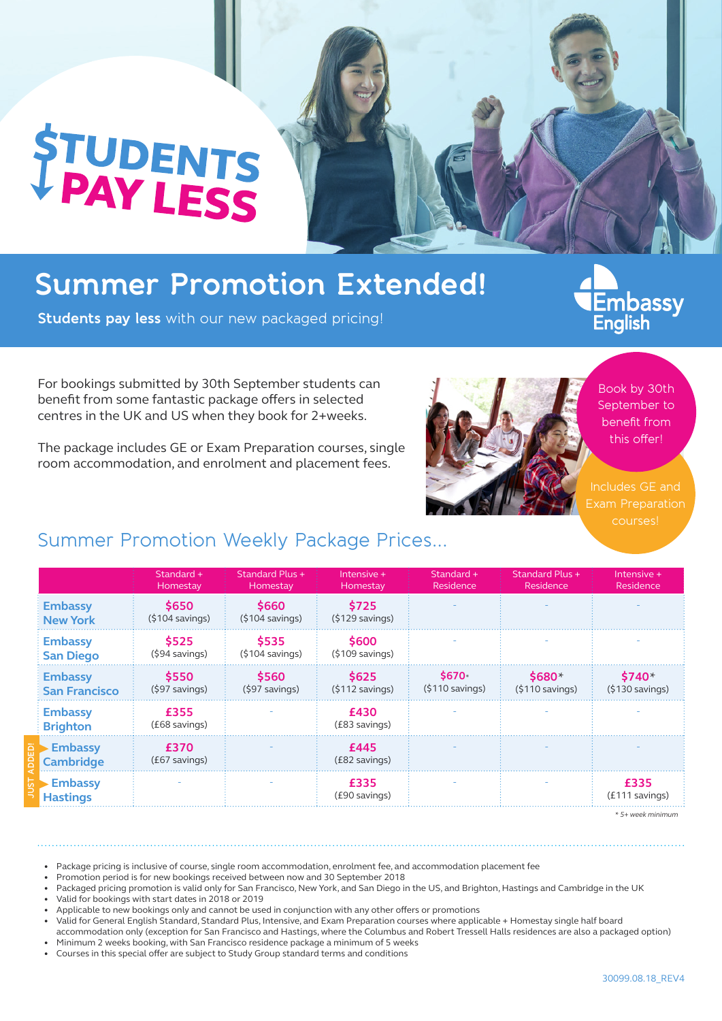# **STUDENTS**

## **Summer Promotion Extended!**

**Students pay less** with our new packaged pricing!

Embassy<br>English

For bookings submitted by 30th September students can benefit from some fantastic package offers in selected centres in the UK and US when they book for 2+weeks.

The package includes GE or Exam Preparation courses, single room accommodation, and enrolment and placement fees.



Book by 30th September to benefit from this offer!

Includes GE and Exam Preparation courses!

## Summer Promotion Weekly Package Prices...

|                                        | Standard +<br>Homestay            | Standard Plus +<br>Homestay       | Intensive +<br>Homestay           | Standard +<br>Residence                        | <b>Standard Plus +</b><br>Residence | Intensive +<br>Residence            |
|----------------------------------------|-----------------------------------|-----------------------------------|-----------------------------------|------------------------------------------------|-------------------------------------|-------------------------------------|
| <b>Embassy</b><br><b>New York</b>      | \$650<br>$(5104 \text{ savings})$ | \$660<br>$(5104 \text{ savings})$ | \$725<br>$(5129$ savings)         |                                                |                                     |                                     |
| <b>Embassy</b><br><b>San Diego</b>     | \$525<br>$(594$ savings)          | \$535<br>$(5104 \text{ savings})$ | \$600<br>$(5109 \text{ savings})$ |                                                |                                     |                                     |
| <b>Embassy</b><br><b>San Francisco</b> | \$550<br>$(597$ savings)          | \$560<br>$(597$ savings)          | \$625<br>(5112 savings)           | \$670 <sub>2</sub><br>$(§110 \text{ savings})$ | $$680*$<br>$(§110 \text{ savings})$ | $$740*$<br>$(§130 \text{ savings})$ |
| <b>Embassy</b><br><b>Brighton</b>      | £355<br>(£68 savings)             |                                   | £430<br>(£83 savings)             |                                                |                                     |                                     |
| <b>Embassy</b><br><b>Cambridge</b>     | £370<br>(£67 savings)             |                                   | £445<br>(£82 savings)             |                                                |                                     |                                     |
| <b>Embassy</b><br><b>Hastings</b>      |                                   |                                   | £335<br>(£90 savings)             |                                                |                                     | £335<br>(£111 savings)              |

*\* 5+ week minimum*

• Package pricing is inclusive of course, single room accommodation, enrolment fee, and accommodation placement fee

• Promotion period is for new bookings received between now and 30 September 2018

• Packaged pricing promotion is valid only for San Francisco, New York, and San Diego in the US, and Brighton, Hastings and Cambridge in the UK

• Valid for bookings with start dates in 2018 or 2019

**JUST ADDED!**

• accommodation only (exception for San Francisco and Hastings, where the Columbus and Robert Tressell Halls residences are also a packaged option) Minimum 2 weeks booking, with San Francisco residence package a minimum of 5 weeks

• Courses in this special offer are subject to Study Group standard terms and conditions

<sup>•</sup> Applicable to new bookings only and cannot be used in conjunction with any other offers or promotions

<sup>•</sup> Valid for General English Standard, Standard Plus, Intensive, and Exam Preparation courses where applicable + Homestay single half board